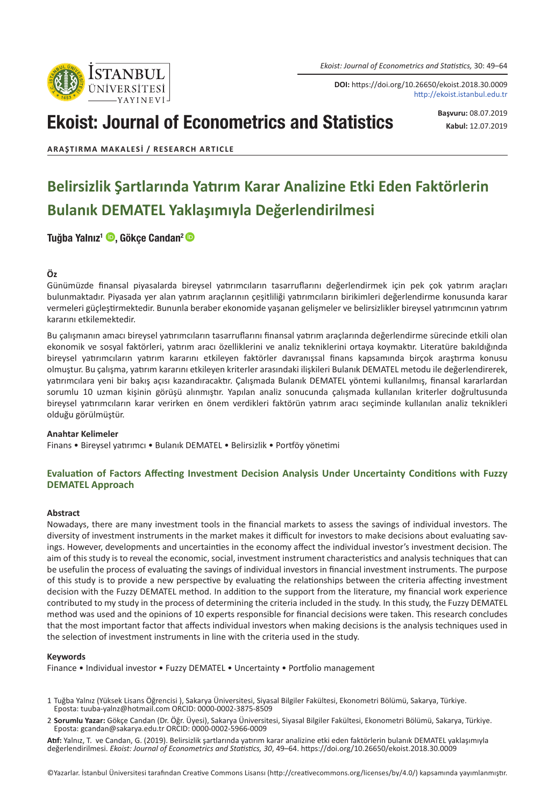*Ekoist: Journal of Econometrics and Statistics,* 30: 49–64

**DOI:** https://doi.org/10.26650/ekoist.2018.30.0009 http://ekoist.istanbul.edu.tr

# Ekoist: Journal of Econometrics and Statistics

**Başvuru:** 08.07.2019 **Kabul:** 12.07.2019

**ARAŞTIRMA MAKALESI / RESEARCH ARTICLE**

# **Belirsizlik Şartlarında Yatırım Karar Analizine Etki Eden Faktörlerin Bulanık DEMATEL Yaklaşımıyla Değerlendirilmesi**

### Tuğba Yalnız<sup>1</sup> D, Gökçe Candan<sup>2</sup> D

#### **Öz**

Günümüzde finansal piyasalarda bireysel yatırımcıların tasarruflarını değerlendirmek için pek çok yatırım araçları bulunmaktadır. Piyasada yer alan yatırım araçlarının çeşitliliği yatırımcıların birikimleri değerlendirme konusunda karar vermeleri güçleştirmektedir. Bununla beraber ekonomide yaşanan gelişmeler ve belirsizlikler bireysel yatırımcının yatırım kararını etkilemektedir.

Bu çalışmanın amacı bireysel yatırımcıların tasarruflarını finansal yatırım araçlarında değerlendirme sürecinde etkili olan ekonomik ve sosyal faktörleri, yatırım aracı özelliklerini ve analiz tekniklerini ortaya koymaktır. Literatüre bakıldığında bireysel yatırımcıların yatırım kararını etkileyen faktörler davranışsal finans kapsamında birçok araştırma konusu olmuştur. Bu çalışma, yatırım kararını etkileyen kriterler arasındaki ilişkileri Bulanık DEMATEL metodu ile değerlendirerek, yatırımcılara yeni bir bakış açısı kazandıracaktır. Çalışmada Bulanık DEMATEL yöntemi kullanılmış, finansal kararlardan sorumlu 10 uzman kişinin görüşü alınmıştır. Yapılan analiz sonucunda çalışmada kullanılan kriterler doğrultusunda bireysel yatırımcıların karar verirken en önem verdikleri faktörün yatırım aracı seçiminde kullanılan analiz teknikleri olduğu görülmüştür.

#### **Anahtar Kelimeler**

Finans • Bireysel yatırımcı • Bulanık DEMATEL • Belirsizlik • Portföy yönetimi

### **Evaluation of Factors Affecting Investment Decision Analysis Under Uncertainty Conditions with Fuzzy DEMATEL Approach**

#### **Abstract**

Nowadays, there are many investment tools in the financial markets to assess the savings of individual investors. The diversity of investment instruments in the market makes it difficult for investors to make decisions about evaluating savings. However, developments and uncertainties in the economy affect the individual investor's investment decision. The aim of this study is to reveal the economic, social, investment instrument characteristics and analysis techniques that can be usefulin the process of evaluating the savings of individual investors in financial investment instruments. The purpose of this study is to provide a new perspective by evaluating the relationships between the criteria affecting investment decision with the Fuzzy DEMATEL method. In addition to the support from the literature, my financial work experience contributed to my study in the process of determining the criteria included in the study. In this study, the Fuzzy DEMATEL method was used and the opinions of 10 experts responsible for financial decisions were taken. This research concludes that the most important factor that affects individual investors when making decisions is the analysis techniques used in the selection of investment instruments in line with the criteria used in the study.

#### **Keywords**

Finance • Individual investor • Fuzzy DEMATEL • Uncertainty • Portfolio management

- 2 **Sorumlu Yazar:** Gökçe Candan (Dr. Öğr. Üyesi), Sakarya Üniversitesi, Siyasal Bilgiler Fakültesi, Ekonometri Bölümü, Sakarya, Türkiye. Eposta: gcandan@sakarya.edu.tr ORCID: 0000-0002-5966-0009
- **Atıf:** Yalnız, T. ve Candan, G. (2019). Belirsizlik şartlarında yatırım karar analizine etki eden faktörlerin bulanık DEMATEL yaklaşımıyla değerlendirilmesi. *Ekoist: Journal of Econometrics and Statistics, 30*, 49–64. https://doi.org/10.26650/ekoist.2018.30.0009



<sup>1</sup> Tuğba Yalnız (Yüksek Lisans Öğrencisi ), Sakarya Üniversitesi, Siyasal Bilgiler Fakültesi, Ekonometri Bölümü, Sakarya, Türkiye. Eposta: tuuba-yalnz@hotmail.com ORCID: 0000-0002-3875-8509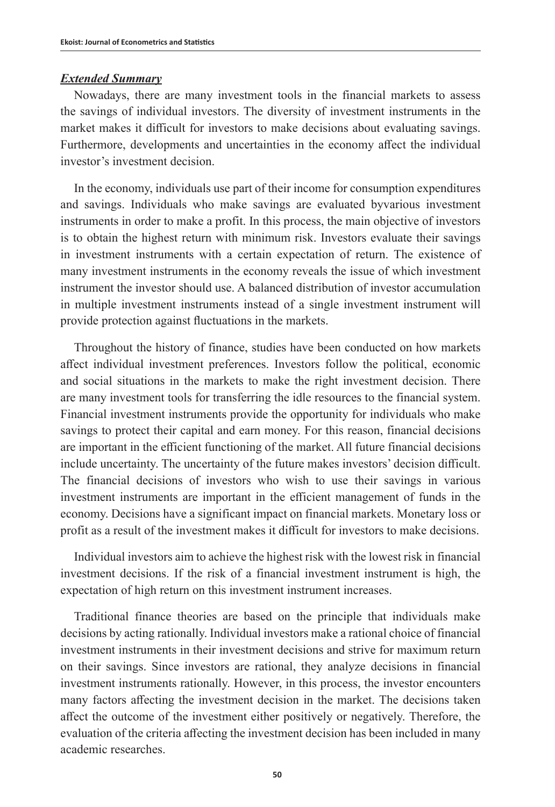### *Extended Summary*

Nowadays, there are many investment tools in the financial markets to assess the savings of individual investors. The diversity of investment instruments in the market makes it difficult for investors to make decisions about evaluating savings. Furthermore, developments and uncertainties in the economy affect the individual investor's investment decision.

In the economy, individuals use part of their income for consumption expenditures and savings. Individuals who make savings are evaluated byvarious investment instruments in order to make a profit. In this process, the main objective of investors is to obtain the highest return with minimum risk. Investors evaluate their savings in investment instruments with a certain expectation of return. The existence of many investment instruments in the economy reveals the issue of which investment instrument the investor should use. A balanced distribution of investor accumulation in multiple investment instruments instead of a single investment instrument will provide protection against fluctuations in the markets.

Throughout the history of finance, studies have been conducted on how markets affect individual investment preferences. Investors follow the political, economic and social situations in the markets to make the right investment decision. There are many investment tools for transferring the idle resources to the financial system. Financial investment instruments provide the opportunity for individuals who make savings to protect their capital and earn money. For this reason, financial decisions are important in the efficient functioning of the market. All future financial decisions include uncertainty. The uncertainty of the future makes investors' decision difficult. The financial decisions of investors who wish to use their savings in various investment instruments are important in the efficient management of funds in the economy. Decisions have a significant impact on financial markets. Monetary loss or profit as a result of the investment makes it difficult for investors to make decisions.

Individual investors aim to achieve the highest risk with the lowest risk in financial investment decisions. If the risk of a financial investment instrument is high, the expectation of high return on this investment instrument increases.

Traditional finance theories are based on the principle that individuals make decisions by acting rationally. Individual investors make a rational choice of financial investment instruments in their investment decisions and strive for maximum return on their savings. Since investors are rational, they analyze decisions in financial investment instruments rationally. However, in this process, the investor encounters many factors affecting the investment decision in the market. The decisions taken affect the outcome of the investment either positively or negatively. Therefore, the evaluation of the criteria affecting the investment decision has been included in many academic researches.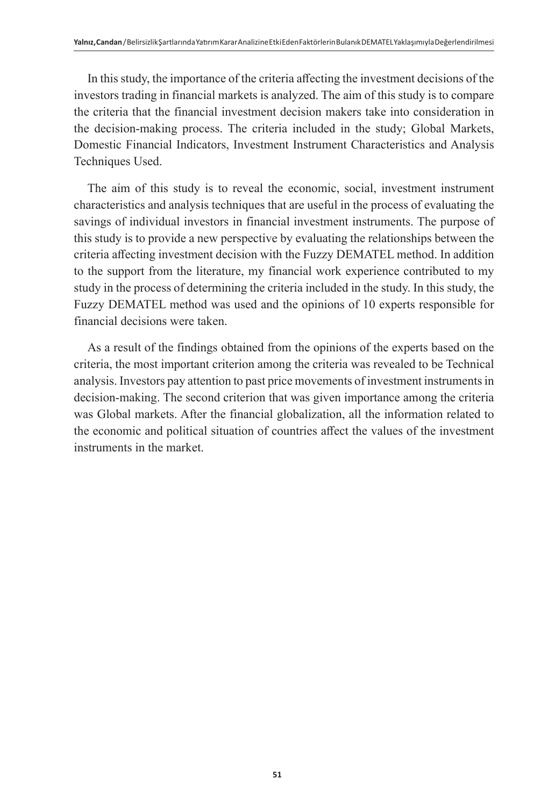In this study, the importance of the criteria affecting the investment decisions of the investors trading in financial markets is analyzed. The aim of this study is to compare the criteria that the financial investment decision makers take into consideration in the decision-making process. The criteria included in the study; Global Markets, Domestic Financial Indicators, Investment Instrument Characteristics and Analysis Techniques Used.

The aim of this study is to reveal the economic, social, investment instrument characteristics and analysis techniques that are useful in the process of evaluating the savings of individual investors in financial investment instruments. The purpose of this study is to provide a new perspective by evaluating the relationships between the criteria affecting investment decision with the Fuzzy DEMATEL method. In addition to the support from the literature, my financial work experience contributed to my study in the process of determining the criteria included in the study. In this study, the Fuzzy DEMATEL method was used and the opinions of 10 experts responsible for financial decisions were taken.

As a result of the findings obtained from the opinions of the experts based on the criteria, the most important criterion among the criteria was revealed to be Technical analysis. Investors pay attention to past price movements of investment instruments in decision-making. The second criterion that was given importance among the criteria was Global markets. After the financial globalization, all the information related to the economic and political situation of countries affect the values of the investment instruments in the market.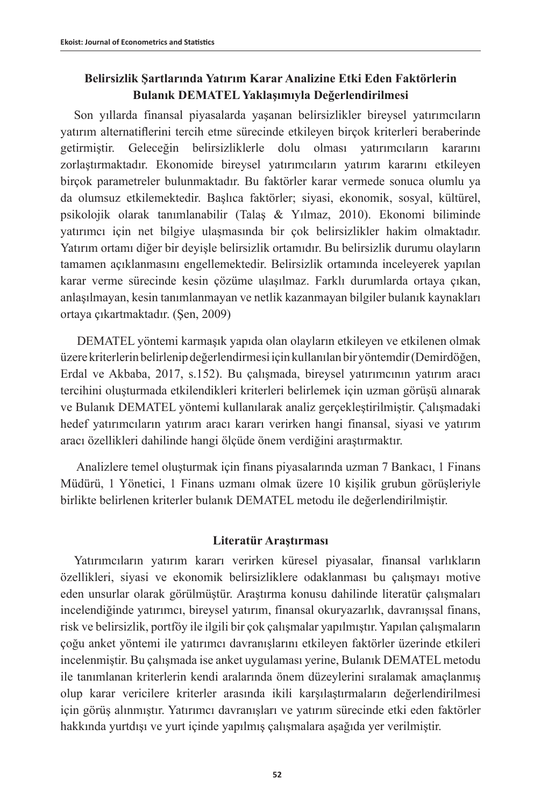# **Belirsizlik Şartlarında Yatırım Karar Analizine Etki Eden Faktörlerin Bulanık DEMATEL Yaklaşımıyla Değerlendirilmesi**

Son yıllarda finansal piyasalarda yaşanan belirsizlikler bireysel yatırımcıların yatırım alternatiflerini tercih etme sürecinde etkileyen birçok kriterleri beraberinde getirmiştir. Geleceğin belirsizliklerle dolu olması yatırımcıların kararını zorlaştırmaktadır. Ekonomide bireysel yatırımcıların yatırım kararını etkileyen birçok parametreler bulunmaktadır. Bu faktörler karar vermede sonuca olumlu ya da olumsuz etkilemektedir. Başlıca faktörler; siyasi, ekonomik, sosyal, kültürel, psikolojik olarak tanımlanabilir (Talaş & Yılmaz, 2010). Ekonomi biliminde yatırımcı için net bilgiye ulaşmasında bir çok belirsizlikler hakim olmaktadır. Yatırım ortamı diğer bir deyişle belirsizlik ortamıdır. Bu belirsizlik durumu olayların tamamen açıklanmasını engellemektedir. Belirsizlik ortamında inceleyerek yapılan karar verme sürecinde kesin çözüme ulaşılmaz. Farklı durumlarda ortaya çıkan, anlaşılmayan, kesin tanımlanmayan ve netlik kazanmayan bilgiler bulanık kaynakları ortaya çıkartmaktadır. (Şen, 2009)

 DEMATEL yöntemi karmaşık yapıda olan olayların etkileyen ve etkilenen olmak üzere kriterlerin belirlenip değerlendirmesi için kullanılan bir yöntemdir (Demirdöğen, Erdal ve Akbaba, 2017, s.152). Bu çalışmada, bireysel yatırımcının yatırım aracı tercihini oluşturmada etkilendikleri kriterleri belirlemek için uzman görüşü alınarak ve Bulanık DEMATEL yöntemi kullanılarak analiz gerçekleştirilmiştir. Çalışmadaki hedef yatırımcıların yatırım aracı kararı verirken hangi finansal, siyasi ve yatırım aracı özellikleri dahilinde hangi ölçüde önem verdiğini araştırmaktır.

 Analizlere temel oluşturmak için finans piyasalarında uzman 7 Bankacı, 1 Finans Müdürü, 1 Yönetici, 1 Finans uzmanı olmak üzere 10 kişilik grubun görüşleriyle birlikte belirlenen kriterler bulanık DEMATEL metodu ile değerlendirilmiştir.

# **Literatür Araştırması**

Yatırımcıların yatırım kararı verirken küresel piyasalar, finansal varlıkların özellikleri, siyasi ve ekonomik belirsizliklere odaklanması bu çalışmayı motive eden unsurlar olarak görülmüştür. Araştırma konusu dahilinde literatür çalışmaları incelendiğinde yatırımcı, bireysel yatırım, finansal okuryazarlık, davranışsal finans, risk ve belirsizlik, portföy ile ilgili bir çok çalışmalar yapılmıştır. Yapılan çalışmaların çoğu anket yöntemi ile yatırımcı davranışlarını etkileyen faktörler üzerinde etkileri incelenmiştir. Bu çalışmada ise anket uygulaması yerine, Bulanık DEMATEL metodu ile tanımlanan kriterlerin kendi aralarında önem düzeylerini sıralamak amaçlanmış olup karar vericilere kriterler arasında ikili karşılaştırmaların değerlendirilmesi için görüş alınmıştır. Yatırımcı davranışları ve yatırım sürecinde etki eden faktörler hakkında yurtdışı ve yurt içinde yapılmış çalışmalara aşağıda yer verilmiştir.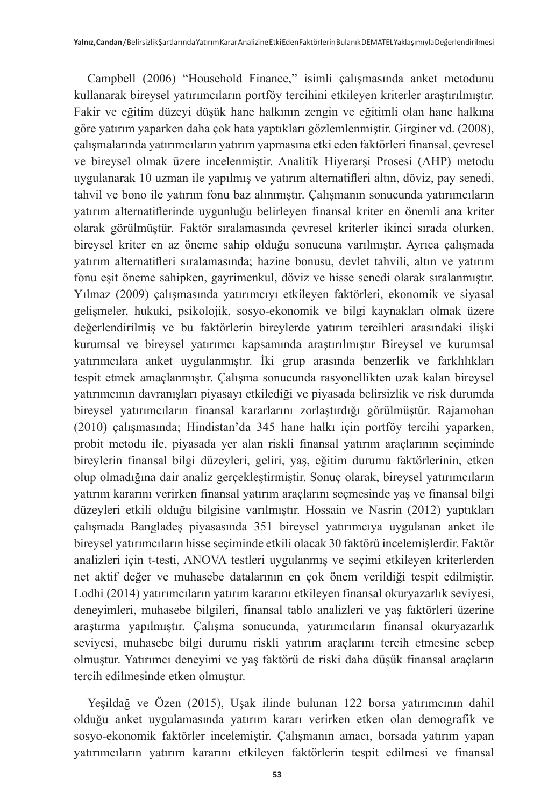Campbell (2006) "Household Finance," isimli çalışmasında anket metodunu kullanarak bireysel yatırımcıların portföy tercihini etkileyen kriterler araştırılmıştır. Fakir ve eğitim düzeyi düşük hane halkının zengin ve eğitimli olan hane halkına göre yatırım yaparken daha çok hata yaptıkları gözlemlenmiştir. Girginer vd. (2008), çalışmalarında yatırımcıların yatırım yapmasına etki eden faktörleri finansal, çevresel ve bireysel olmak üzere incelenmiştir. Analitik Hiyerarşi Prosesi (AHP) metodu uygulanarak 10 uzman ile yapılmış ve yatırım alternatifleri altın, döviz, pay senedi, tahvil ve bono ile yatırım fonu baz alınmıştır. Çalışmanın sonucunda yatırımcıların yatırım alternatiflerinde uygunluğu belirleyen finansal kriter en önemli ana kriter olarak görülmüştür. Faktör sıralamasında çevresel kriterler ikinci sırada olurken, bireysel kriter en az öneme sahip olduğu sonucuna varılmıştır. Ayrıca çalışmada yatırım alternatifleri sıralamasında; hazine bonusu, devlet tahvili, altın ve yatırım fonu eşit öneme sahipken, gayrimenkul, döviz ve hisse senedi olarak sıralanmıştır. Yılmaz (2009) çalışmasında yatırımcıyı etkileyen faktörleri, ekonomik ve siyasal gelişmeler, hukuki, psikolojik, sosyo-ekonomik ve bilgi kaynakları olmak üzere değerlendirilmiş ve bu faktörlerin bireylerde yatırım tercihleri arasındaki ilişki kurumsal ve bireysel yatırımcı kapsamında araştırılmıştır Bireysel ve kurumsal yatırımcılara anket uygulanmıştır. İki grup arasında benzerlik ve farklılıkları tespit etmek amaçlanmıştır. Çalışma sonucunda rasyonellikten uzak kalan bireysel yatırımcının davranışları piyasayı etkilediği ve piyasada belirsizlik ve risk durumda bireysel yatırımcıların finansal kararlarını zorlaştırdığı görülmüştür. Rajamohan (2010) çalışmasında; Hindistan'da 345 hane halkı için portföy tercihi yaparken, probit metodu ile, piyasada yer alan riskli finansal yatırım araçlarının seçiminde bireylerin finansal bilgi düzeyleri, geliri, yaş, eğitim durumu faktörlerinin, etken olup olmadığına dair analiz gerçekleştirmiştir. Sonuç olarak, bireysel yatırımcıların yatırım kararını verirken finansal yatırım araçlarını seçmesinde yaş ve finansal bilgi düzeyleri etkili olduğu bilgisine varılmıştır. Hossain ve Nasrin (2012) yaptıkları çalışmada Bangladeş piyasasında 351 bireysel yatırımcıya uygulanan anket ile bireysel yatırımcıların hisse seçiminde etkili olacak 30 faktörü incelemişlerdir. Faktör analizleri için t-testi, ANOVA testleri uygulanmış ve seçimi etkileyen kriterlerden net aktif değer ve muhasebe datalarının en çok önem verildiği tespit edilmiştir. Lodhi (2014) yatırımcıların yatırım kararını etkileyen finansal okuryazarlık seviyesi, deneyimleri, muhasebe bilgileri, finansal tablo analizleri ve yaş faktörleri üzerine araştırma yapılmıştır. Çalışma sonucunda, yatırımcıların finansal okuryazarlık seviyesi, muhasebe bilgi durumu riskli yatırım araçlarını tercih etmesine sebep olmuştur. Yatırımcı deneyimi ve yaş faktörü de riski daha düşük finansal araçların tercih edilmesinde etken olmuştur.

Yeşildağ ve Özen (2015), Uşak ilinde bulunan 122 borsa yatırımcının dahil olduğu anket uygulamasında yatırım kararı verirken etken olan demografik ve sosyo-ekonomik faktörler incelemiştir. Çalışmanın amacı, borsada yatırım yapan yatırımcıların yatırım kararını etkileyen faktörlerin tespit edilmesi ve finansal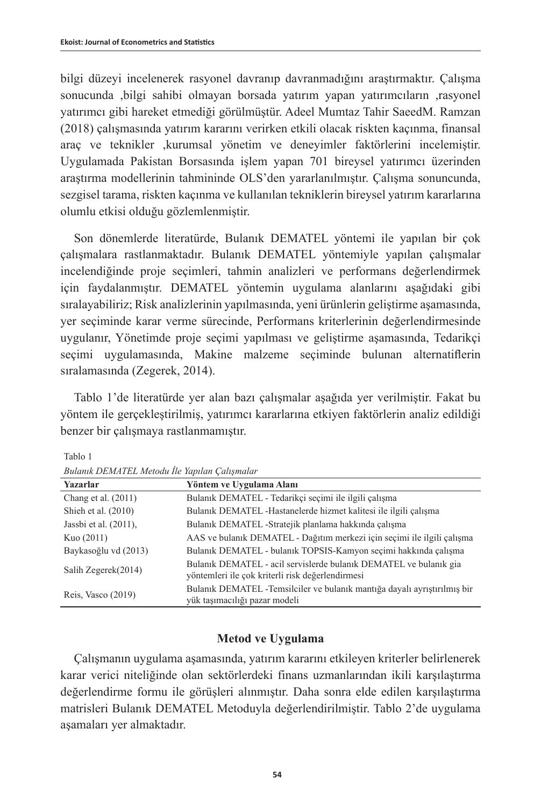bilgi düzeyi incelenerek rasyonel davranıp davranmadığını araştırmaktır. Çalışma sonucunda ,bilgi sahibi olmayan borsada yatırım yapan yatırımcıların ,rasyonel yatırımcı gibi hareket etmediği görülmüştür. Adeel Mumtaz Tahir SaeedM. Ramzan (2018) çalışmasında yatırım kararını verirken etkili olacak riskten kaçınma, finansal araç ve teknikler ,kurumsal yönetim ve deneyimler faktörlerini incelemiştir. Uygulamada Pakistan Borsasında işlem yapan 701 bireysel yatırımcı üzerinden araştırma modellerinin tahmininde OLS'den yararlanılmıştır. Çalışma sonuncunda, sezgisel tarama, riskten kaçınma ve kullanılan tekniklerin bireysel yatırım kararlarına olumlu etkisi olduğu gözlemlenmiştir.

Son dönemlerde literatürde, Bulanık DEMATEL yöntemi ile yapılan bir çok çalışmalara rastlanmaktadır. Bulanık DEMATEL yöntemiyle yapılan çalışmalar incelendiğinde proje seçimleri, tahmin analizleri ve performans değerlendirmek için faydalanmıştır. DEMATEL yöntemin uygulama alanlarını aşağıdaki gibi sıralayabiliriz; Risk analizlerinin yapılmasında, yeni ürünlerin geliştirme aşamasında, yer seçiminde karar verme sürecinde, Performans kriterlerinin değerlendirmesinde uygulanır, Yönetimde proje seçimi yapılması ve geliştirme aşamasında, Tedarikçi seçimi uygulamasında, Makine malzeme seçiminde bulunan alternatiflerin sıralamasında (Zegerek, 2014).

Tablo 1'de literatürde yer alan bazı çalışmalar aşağıda yer verilmiştir. Fakat bu yöntem ile gerçekleştirilmiş, yatırımcı kararlarına etkiyen faktörlerin analiz edildiği benzer bir çalışmaya rastlanmamıştır.

**Yazarlar Yöntem ve Uygulama Alanı** Chang et al. (2011) Bulanık DEMATEL - Tedarikçi seçimi ile ilgili çalışma Shieh et al. (2010) Bulanık DEMATEL -Hastanelerde hizmet kalitesi ile ilgili çalışma Jassbi et al. (2011), Bulanık DEMATEL -Stratejik planlama hakkında çalışma Kuo (2011) AAS ve bulanık DEMATEL - Dağıtım merkezi için seçimi ile ilgili çalışma Baykasoğlu vd (2013) Bulanık DEMATEL - bulanık TOPSIS-Kamyon seçimi hakkında çalışma Salih Zegerek(2014) Bulanık DEMATEL - acil servislerde bulanık DEMATEL ve bulanık gia yöntemleri ile çok kriterli risk değerlendirmesi Reis, Vasco (2019) Bulanık DEMATEL -Temsilciler ve bulanık mantığa dayalı ayrıştırılmış bir yük taşımacılığı pazar modeli

Tablo 1

| Bulanık DEMATEL Metodu İle Yapılan Çalışmalar |  |  |  |
|-----------------------------------------------|--|--|--|
|-----------------------------------------------|--|--|--|

# **Metod ve Uygulama**

Çalışmanın uygulama aşamasında, yatırım kararını etkileyen kriterler belirlenerek karar verici niteliğinde olan sektörlerdeki finans uzmanlarından ikili karşılaştırma değerlendirme formu ile görüşleri alınmıştır. Daha sonra elde edilen karşılaştırma matrisleri Bulanık DEMATEL Metoduyla değerlendirilmiştir. Tablo 2'de uygulama aşamaları yer almaktadır.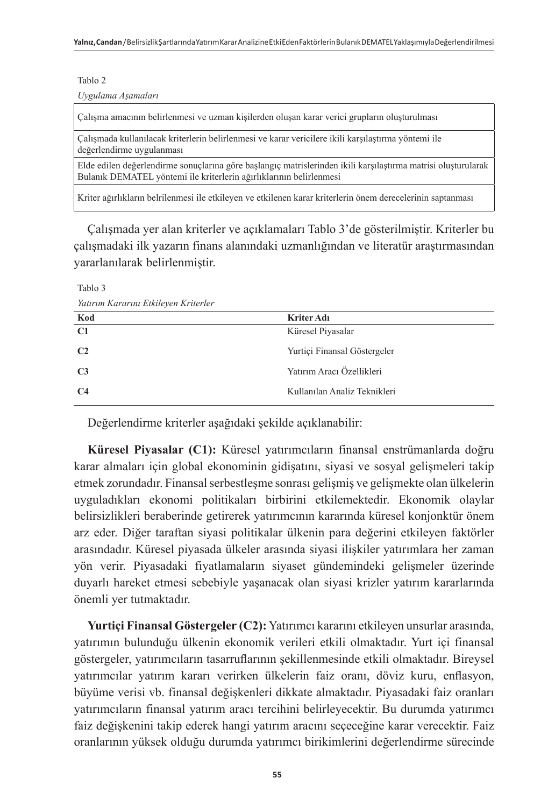Tablo 2

*Uygulama Aşamaları*

Çalışma amacının belirlenmesi ve uzman kişilerden oluşan karar verici grupların oluşturulması

Çalışmada kullanılacak kriterlerin belirlenmesi ve karar vericilere ikili karşılaştırma yöntemi ile değerlendirme uygulanması

Elde edilen değerlendirme sonuçlarına göre başlangıç matrislerinden ikili karşılaştırma matrisi oluşturularak Bulanık DEMATEL yöntemi ile kriterlerin ağırlıklarının belirlenmesi

Kriter ağırlıkların belrilenmesi ile etkileyen ve etkilenen karar kriterlerin önem derecelerinin saptanması

Çalışmada yer alan kriterler ve açıklamaları Tablo 3'de gösterilmiştir. Kriterler bu çalışmadaki ilk yazarın finans alanındaki uzmanlığından ve literatür araştırmasından yararlanılarak belirlenmiştir.

Tablo 3

*Yatırım Kararını Etkileyen Kriterler*

| Kod            | Kriter Adı                   |
|----------------|------------------------------|
| C1             | Küresel Piyasalar            |
| C <sub>2</sub> | Yurtiçi Finansal Göstergeler |
| C <sub>3</sub> | Yatırım Aracı Özellikleri    |
| C <sub>4</sub> | Kullanılan Analiz Teknikleri |

Değerlendirme kriterler aşağıdaki şekilde açıklanabilir:

**Küresel Piyasalar (C1):** Küresel yatırımcıların finansal enstrümanlarda doğru karar almaları için global ekonominin gidişatını, siyasi ve sosyal gelişmeleri takip etmek zorundadır. Finansal serbestleşme sonrası gelişmiş ve gelişmekte olan ülkelerin uyguladıkları ekonomi politikaları birbirini etkilemektedir. Ekonomik olaylar belirsizlikleri beraberinde getirerek yatırımcının kararında küresel konjonktür önem arz eder. Diğer taraftan siyasi politikalar ülkenin para değerini etkileyen faktörler arasındadır. Küresel piyasada ülkeler arasında siyasi ilişkiler yatırımlara her zaman yön verir. Piyasadaki fiyatlamaların siyaset gündemindeki gelişmeler üzerinde duyarlı hareket etmesi sebebiyle yaşanacak olan siyasi krizler yatırım kararlarında önemli yer tutmaktadır.

**Yurtiçi Finansal Göstergeler (C2):** Yatırımcı kararını etkileyen unsurlar arasında, yatırımın bulunduğu ülkenin ekonomik verileri etkili olmaktadır. Yurt içi finansal göstergeler, yatırımcıların tasarruflarının şekillenmesinde etkili olmaktadır. Bireysel yatırımcılar yatırım kararı verirken ülkelerin faiz oranı, döviz kuru, enflasyon, büyüme verisi vb. finansal değişkenleri dikkate almaktadır. Piyasadaki faiz oranları yatırımcıların finansal yatırım aracı tercihini belirleyecektir. Bu durumda yatırımcı faiz değişkenini takip ederek hangi yatırım aracını seçeceğine karar verecektir. Faiz oranlarının yüksek olduğu durumda yatırımcı birikimlerini değerlendirme sürecinde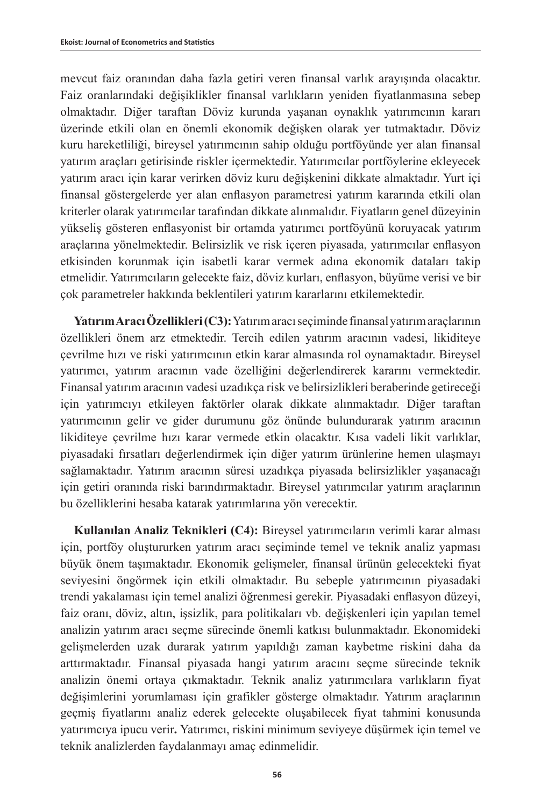mevcut faiz oranından daha fazla getiri veren finansal varlık arayışında olacaktır. Faiz oranlarındaki değişiklikler finansal varlıkların yeniden fiyatlanmasına sebep olmaktadır. Diğer taraftan Döviz kurunda yaşanan oynaklık yatırımcının kararı üzerinde etkili olan en önemli ekonomik değişken olarak yer tutmaktadır. Döviz kuru hareketliliği, bireysel yatırımcının sahip olduğu portföyünde yer alan finansal yatırım araçları getirisinde riskler içermektedir. Yatırımcılar portföylerine ekleyecek yatırım aracı için karar verirken döviz kuru değişkenini dikkate almaktadır. Yurt içi finansal göstergelerde yer alan enflasyon parametresi yatırım kararında etkili olan kriterler olarak yatırımcılar tarafından dikkate alınmalıdır. Fiyatların genel düzeyinin yükseliş gösteren enflasyonist bir ortamda yatırımcı portföyünü koruyacak yatırım araçlarına yönelmektedir. Belirsizlik ve risk içeren piyasada, yatırımcılar enflasyon etkisinden korunmak için isabetli karar vermek adına ekonomik dataları takip etmelidir. Yatırımcıların gelecekte faiz, döviz kurları, enflasyon, büyüme verisi ve bir çok parametreler hakkında beklentileri yatırım kararlarını etkilemektedir.

**Yatırım Aracı Özellikleri (C3):** Yatırım aracı seçiminde finansal yatırım araçlarının özellikleri önem arz etmektedir. Tercih edilen yatırım aracının vadesi, likiditeye çevrilme hızı ve riski yatırımcının etkin karar almasında rol oynamaktadır. Bireysel yatırımcı, yatırım aracının vade özelliğini değerlendirerek kararını vermektedir. Finansal yatırım aracının vadesi uzadıkça risk ve belirsizlikleri beraberinde getireceği için yatırımcıyı etkileyen faktörler olarak dikkate alınmaktadır. Diğer taraftan yatırımcının gelir ve gider durumunu göz önünde bulundurarak yatırım aracının likiditeye çevrilme hızı karar vermede etkin olacaktır. Kısa vadeli likit varlıklar, piyasadaki fırsatları değerlendirmek için diğer yatırım ürünlerine hemen ulaşmayı sağlamaktadır. Yatırım aracının süresi uzadıkça piyasada belirsizlikler yaşanacağı için getiri oranında riski barındırmaktadır. Bireysel yatırımcılar yatırım araçlarının bu özelliklerini hesaba katarak yatırımlarına yön verecektir.

**Kullanılan Analiz Teknikleri (C4):** Bireysel yatırımcıların verimli karar alması için, portföy oluştururken yatırım aracı seçiminde temel ve teknik analiz yapması büyük önem taşımaktadır. Ekonomik gelişmeler, finansal ürünün gelecekteki fiyat seviyesini öngörmek için etkili olmaktadır. Bu sebeple yatırımcının piyasadaki trendi yakalaması için temel analizi öğrenmesi gerekir. Piyasadaki enflasyon düzeyi, faiz oranı, döviz, altın, işsizlik, para politikaları vb. değişkenleri için yapılan temel analizin yatırım aracı seçme sürecinde önemli katkısı bulunmaktadır. Ekonomideki gelişmelerden uzak durarak yatırım yapıldığı zaman kaybetme riskini daha da arttırmaktadır. Finansal piyasada hangi yatırım aracını seçme sürecinde teknik analizin önemi ortaya çıkmaktadır. Teknik analiz yatırımcılara varlıkların fiyat değişimlerini yorumlaması için grafikler gösterge olmaktadır. Yatırım araçlarının geçmiş fiyatlarını analiz ederek gelecekte oluşabilecek fiyat tahmini konusunda yatırımcıya ipucu verir**.** Yatırımcı, riskini minimum seviyeye düşürmek için temel ve teknik analizlerden faydalanmayı amaç edinmelidir.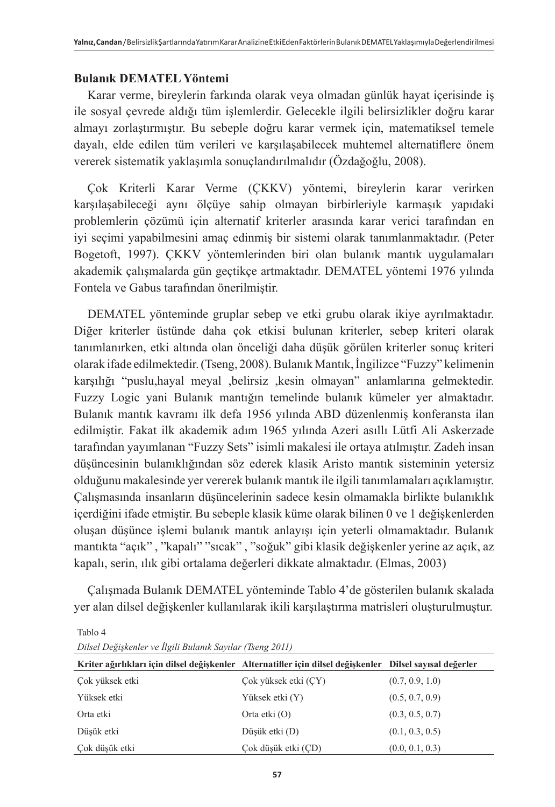# **Bulanık DEMATEL Yöntemi**

Karar verme, bireylerin farkında olarak veya olmadan günlük hayat içerisinde iş ile sosyal çevrede aldığı tüm işlemlerdir. Gelecekle ilgili belirsizlikler doğru karar almayı zorlaştırmıştır. Bu sebeple doğru karar vermek için, matematiksel temele dayalı, elde edilen tüm verileri ve karşılaşabilecek muhtemel alternatiflere önem vererek sistematik yaklaşımla sonuçlandırılmalıdır (Özdağoğlu, 2008).

Çok Kriterli Karar Verme (ÇKKV) yöntemi, bireylerin karar verirken karşılaşabileceği aynı ölçüye sahip olmayan birbirleriyle karmaşık yapıdaki problemlerin çözümü için alternatif kriterler arasında karar verici tarafından en iyi seçimi yapabilmesini amaç edinmiş bir sistemi olarak tanımlanmaktadır. (Peter Bogetoft, 1997). ÇKKV yöntemlerinden biri olan bulanık mantık uygulamaları akademik çalışmalarda gün geçtikçe artmaktadır. DEMATEL yöntemi 1976 yılında Fontela ve Gabus tarafından önerilmiştir.

DEMATEL yönteminde gruplar sebep ve etki grubu olarak ikiye ayrılmaktadır. Diğer kriterler üstünde daha çok etkisi bulunan kriterler, sebep kriteri olarak tanımlanırken, etki altında olan önceliği daha düşük görülen kriterler sonuç kriteri olarak ifade edilmektedir. (Tseng, 2008). Bulanık Mantık, İngilizce "Fuzzy" kelimenin karşılığı "puslu,hayal meyal ,belirsiz ,kesin olmayan" anlamlarına gelmektedir. Fuzzy Logic yani Bulanık mantığın temelinde bulanık kümeler yer almaktadır. Bulanık mantık kavramı ilk defa 1956 yılında ABD düzenlenmiş konferansta ilan edilmiştir. Fakat ilk akademik adım 1965 yılında Azeri asıllı Lütfi Ali Askerzade tarafından yayımlanan "Fuzzy Sets" isimli makalesi ile ortaya atılmıştır. Zadeh insan düşüncesinin bulanıklığından söz ederek klasik Aristo mantık sisteminin yetersiz olduğunu makalesinde yer vererek bulanık mantık ile ilgili tanımlamaları açıklamıştır. Çalışmasında insanların düşüncelerinin sadece kesin olmamakla birlikte bulanıklık içerdiğini ifade etmiştir. Bu sebeple klasik küme olarak bilinen 0 ve 1 değişkenlerden oluşan düşünce işlemi bulanık mantık anlayışı için yeterli olmamaktadır. Bulanık mantıkta "açık" , "kapalı" "sıcak" , "soğuk" gibi klasik değişkenler yerine az açık, az kapalı, serin, ılık gibi ortalama değerleri dikkate almaktadır. (Elmas, 2003)

Çalışmada Bulanık DEMATEL yönteminde Tablo 4'de gösterilen bulanık skalada yer alan dilsel değişkenler kullanılarak ikili karşılaştırma matrisleri oluşturulmuştur.

Tablo 4

| Kriter ağırlıkları için dilsel değişkenler Alternatifler için dilsel değişkenler Dilsel sayısal değerler |                      |                 |
|----------------------------------------------------------------------------------------------------------|----------------------|-----------------|
| Cok yüksek etki                                                                                          | Cok yüksek etki (CY) | (0.7, 0.9, 1.0) |
| Yüksek etki                                                                                              | Yüksek etki (Y)      | (0.5, 0.7, 0.9) |
| Orta etki                                                                                                | Orta etki $(O)$      | (0.3, 0.5, 0.7) |
| Düsük etki                                                                                               | Düşük etki (D)       | (0.1, 0.3, 0.5) |
| Çok düşük etki                                                                                           | Çok düşük etki (ÇD)  | (0.0, 0.1, 0.3) |

*Dilsel Değişkenler ve İlgili Bulanık Sayılar (Tseng 2011)*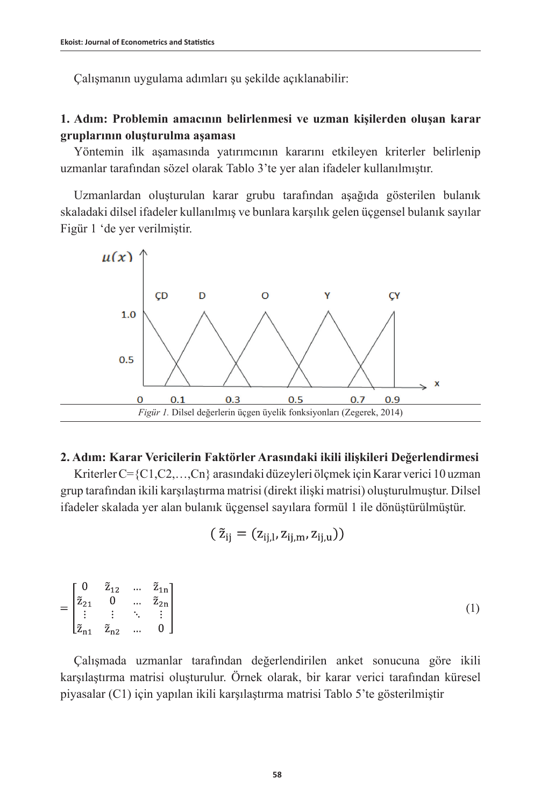Çalışmanın uygulama adımları şu şekilde açıklanabilir:

# **1. Adım: Problemin amacının belirlenmesi ve uzman kişilerden oluşan karar gruplarının oluşturulma aşaması**

Yöntemin ilk aşamasında yatırımcının kararını etkileyen kriterler belirlenip uzmanlar tarafından sözel olarak Tablo 3'te yer alan ifadeler kullanılmıştır.

Uzmanlardan oluşturulan karar grubu tarafından aşağıda gösterilen bulanık skaladaki dilsel ifadeler kullanılmış ve bunlara karşılık gelen üçgensel bulanık sayılar Figür 1 'de yer verilmiştir.



# **2. Adım: Karar Vericilerin Faktörler Arasındaki ikili ilişkileri Değerlendirmesi**

Kriterler C={C1,C2,…,Cn} arasındaki düzeyleri ölçmek için Karar verici 10 uzman grup tarafından ikili karşılaştırma matrisi (direkt ilişki matrisi) oluşturulmuştur. Dilsel ifadeler skalada yer alan bulanık üçgensel sayılara formül 1 ile dönüştürülmüştür.

$$
(\tilde{z}_{ij}=(z_{ij,l},z_{ij,m},z_{ij,u}))
$$

$$
= \begin{bmatrix} 0 & \tilde{z}_{12} & \dots & \tilde{z}_{1n} \\ \tilde{z}_{21} & 0 & \dots & \tilde{z}_{2n} \\ \vdots & \vdots & \ddots & \vdots \\ \tilde{z}_{n1} & \tilde{z}_{n2} & \dots & 0 \end{bmatrix}
$$
 (1)

Çalışmada uzmanlar tarafından değerlendirilen anket sonucuna göre ikili karşılaştırma matrisi oluşturulur. Örnek olarak, bir karar verici tarafından küresel piyasalar (C1) için yapılan ikili karşılaştırma matrisi Tablo 5'te gösterilmiştir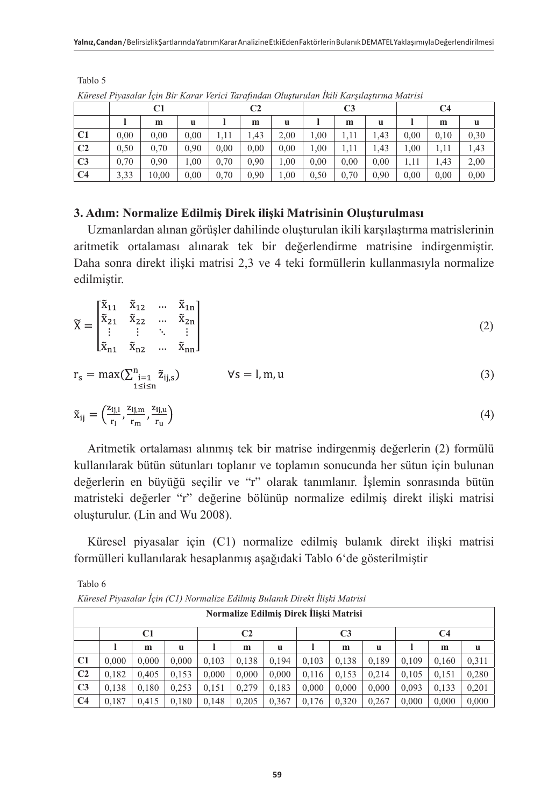|                | C1   |       |      | C2   |      |      | C <sub>3</sub> |      |      | C4   |      |      |
|----------------|------|-------|------|------|------|------|----------------|------|------|------|------|------|
|                |      | m     | u    |      | m    | u    |                | m    | u    |      | m    | u    |
| C <sub>1</sub> | 0,00 | 0,00  | 0.00 |      | 1.43 | 2,00 | 1,00           |      | 1.43 | 0.00 | 0.10 | 0,30 |
| C <sub>2</sub> | 0,50 | 0,70  | 0.90 | 0.00 | 0.00 | 0.00 | 1.00           |      | 1.43 | 1,00 | 1.11 | 1,43 |
| C <sub>3</sub> | 0,70 | 0.90  | 00.1 | 0.70 | 0.90 | 1,00 | 0.00           | 0.00 | 0.00 | 1.11 | 1.43 | 2,00 |
| C <sub>4</sub> | 3,33 | 10,00 | 0.00 | 0.70 | 0.90 | 1,00 | 0,50           | 0,70 | 0.90 | 0.00 | 0,00 | 0.00 |

*Küresel Piyasalar İçin Bir Karar Verici Tarafından Oluşturulan İkili Karşılaştırma Matrisi*

Tablo 5

Tablo 6

# **3. Adım: Normalize Edilmiş Direk ilişki Matrisinin Oluşturulması**

Uzmanlardan alınan görüşler dahilinde oluşturulan ikili karşılaştırma matrislerinin aritmetik ortalaması alınarak tek bir değerlendirme matrisine indirgenmiştir. Daha sonra direkt ilişki matrisi 2,3 ve 4 teki formüllerin kullanmasıyla normalize edilmiştir.

$$
\widetilde{\mathbf{X}} = \begin{bmatrix} \widetilde{\mathbf{x}}_{11} & \widetilde{\mathbf{x}}_{12} & \dots & \widetilde{\mathbf{x}}_{1n} \\ \widetilde{\mathbf{x}}_{21} & \widetilde{\mathbf{x}}_{22} & \dots & \widetilde{\mathbf{x}}_{2n} \\ \vdots & \vdots & \ddots & \vdots \\ \widetilde{\mathbf{x}}_{n1} & \widetilde{\mathbf{x}}_{n2} & \dots & \widetilde{\mathbf{x}}_{nn} \end{bmatrix} \tag{2}
$$

$$
r_s = \max(\sum_{\substack{i=1 \ i \leq n}}^{n} \tilde{z}_{ij,s}) \qquad \forall s = l, m, u \tag{3}
$$

$$
\tilde{\mathbf{x}}_{ij} = \left(\frac{\mathbf{z}_{ij,1}}{\mathbf{r}_1}, \frac{\mathbf{z}_{ij,m}}{\mathbf{r}_m}, \frac{\mathbf{z}_{ij,u}}{\mathbf{r}_u}\right) \tag{4}
$$

Aritmetik ortalaması alınmış tek bir matrise indirgenmiş değerlerin (2) formülü kullanılarak bütün sütunları toplanır ve toplamın sonucunda her sütun için bulunan değerlerin en büyüğü seçilir ve "r" olarak tanımlanır. İşlemin sonrasında bütün matristeki değerler "r" değerine bölünüp normalize edilmiş direkt ilişki matrisi oluşturulur. (Lin and Wu 2008).

Küresel piyasalar için (C1) normalize edilmiş bulanık direkt ilişki matrisi formülleri kullanılarak hesaplanmış aşağıdaki Tablo 6'de gösterilmiştir

|                | Küresel Piyasalar Için (C1) Normalize Edilmiş Bulanık Direkt İlişki Matrisi |       |       |       |       |       |       |       |       |       |       |       |
|----------------|-----------------------------------------------------------------------------|-------|-------|-------|-------|-------|-------|-------|-------|-------|-------|-------|
|                | Normalize Edilmis Direk İliski Matrisi                                      |       |       |       |       |       |       |       |       |       |       |       |
|                | C1<br>C <sub>2</sub><br>C <sub>3</sub><br>C <sub>4</sub>                    |       |       |       |       |       |       |       |       |       |       |       |
|                |                                                                             | m     | u     |       | m     | u     |       | m     | u     |       | m     | u     |
| C1             | 0.000                                                                       | 0.000 | 0.000 | 0.103 | 0.138 | 0.194 | 0.103 | 0.138 | 0.189 | 0.109 | 0.160 | 0.311 |
| C <sub>2</sub> | 0.182                                                                       | 0.405 | 0.153 | 0.000 | 0.000 | 0.000 | 0.116 | 0.153 | 0.214 | 0.105 | 0.151 | 0.280 |
| C <sub>3</sub> | 0.138                                                                       | 0.180 | 0.253 | 0.151 | 0.279 | 0.183 | 0.000 | 0.000 | 0.000 | 0.093 | 0.133 | 0.201 |
| C <sub>4</sub> | 0.187                                                                       | 0.415 | 0.180 | 0.148 | 0.205 | 0.367 | 0.176 | 0.320 | 0.267 | 0.000 | 0.000 | 0.000 |

*Küresel Piyasalar İçin (C1) Normalize Edilmiş Bulanık Direkt İlişki Matrisi*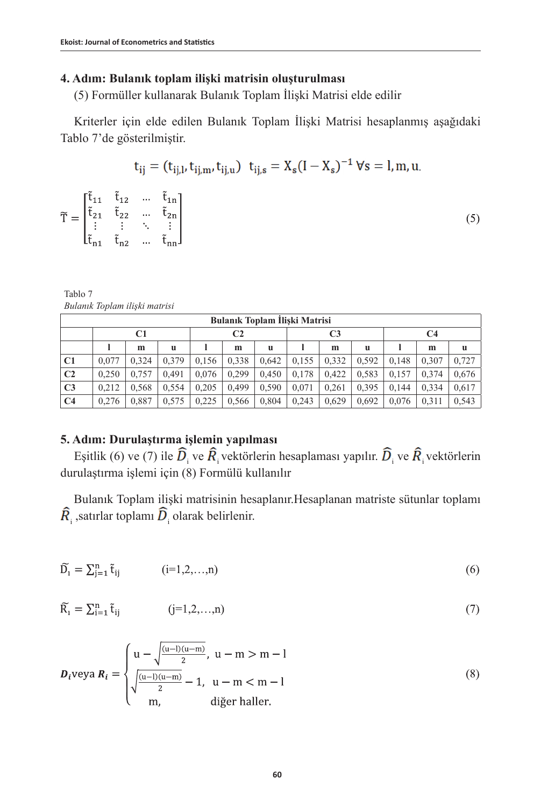# **4. Adım: Bulanık toplam ilişki matrisin oluşturulması**

(5) Formüller kullanarak Bulanık Toplam İlişki Matrisi elde edilir

Kriterler için elde edilen Bulanık Toplam İlişki Matrisi hesaplanmış aşağıdaki Tablo 7'de gösterilmiştir.

$$
t_{ij} = (t_{ij,l}, t_{ij,m}, t_{ij,u})
$$
  $t_{ij,s} = X_s (I - X_s)^{-1}$   $\forall s = l, m, u$ .

| $\widetilde{\mathsf{T}} = \begin{bmatrix} \widetilde{\mathsf{t}}_{11} & \widetilde{\mathsf{t}}_{12} & \dots & \widetilde{\mathsf{t}}_{1\mathrm{n}} \\ \widetilde{\mathsf{t}}_{21} & \widetilde{\mathsf{t}}_{22} & \dots & \widetilde{\mathsf{t}}_{2\mathrm{n}} \\ \vdots & \vdots & \ddots & \vdots \\ \widetilde{\mathsf{t}}_{\mathrm{n}1} & \widetilde{\mathsf{t}}_{\mathrm{n}2} & \dots & \widetilde{\mathsf{t}}_{\mathrm{n}\mathrm{n}} \end{bmatrix}$ |  |  |  |
|-----------------------------------------------------------------------------------------------------------------------------------------------------------------------------------------------------------------------------------------------------------------------------------------------------------------------------------------------------------------------------------------------------------------------------------------------------------|--|--|--|
|-----------------------------------------------------------------------------------------------------------------------------------------------------------------------------------------------------------------------------------------------------------------------------------------------------------------------------------------------------------------------------------------------------------------------------------------------------------|--|--|--|

Tablo 7 *Bulanık Toplam ilişki matrisi*

|                | Bulanık Toplam İlişki Matrisi |       |       |       |       |       |                |       |       |       |       |       |
|----------------|-------------------------------|-------|-------|-------|-------|-------|----------------|-------|-------|-------|-------|-------|
|                |                               | C1    |       | C2    |       |       | C <sub>3</sub> |       |       | C4    |       |       |
|                |                               | m     | u     |       | m     | u     |                | m     | u     |       | m     | u     |
| C <sub>1</sub> | 0.077                         | 0.324 | 0.379 | 0.156 | 0.338 | 0.642 | 0.155          | 0.332 | 0.592 | 0.148 | 0.307 | 0.727 |
| C <sub>2</sub> | 0.250                         | 0.757 | 0.491 | 0.076 | 0.299 | 0.450 | 0.178          | 0.422 | 0.583 | 0.157 | 0.374 | 0.676 |
| C <sub>3</sub> | 0.212                         | 0.568 | 0.554 | 0.205 | 0.499 | 0.590 | 0.071          | 0.261 | 0.395 | 0.144 | 0.334 | 0.617 |
| C <sub>4</sub> | 0.276                         | 0.887 | 0.575 | 0.225 | 0.566 | 0.804 | 0.243          | 0.629 | 0.692 | 0.076 | 0.311 | 0.543 |

# **5. Adım: Durulaştırma işlemin yapılması**

Eşitlik (6) ve (7) ile  $D_i$  ve  $R_i$ vektörlerin hesaplaması yapılır.  $D_i$  ve  $R_i$ vektörlerin durulaştırma işlemi için (8) Formülü kullanılır

Bulanık Toplam ilişki matrisinin hesaplanır.Hesaplanan matriste sütunlar toplamı  $_{\rm i}$  ,satırlar toplamı  $D_{\rm i}$  olarak belirlenir.

$$
\widetilde{D}_i = \sum_{j=1}^n \widetilde{t}_{ij} \qquad (i=1,2,...,n)
$$
 (6)

$$
\widetilde{R}_i = \sum_{i=1}^n \widetilde{t}_{ij} \qquad (j=1,2,...,n)
$$
\n(7)

$$
D_i \text{veya } R_i = \begin{cases} u - \sqrt{\frac{(u-1)(u-m)}{2}}, \ u-m > m-1 \\ \sqrt{\frac{(u-1)(u-m)}{2}} - 1, \ u-m < m-1 \\ m, \quad \text{diger haller.} \end{cases}
$$
(8)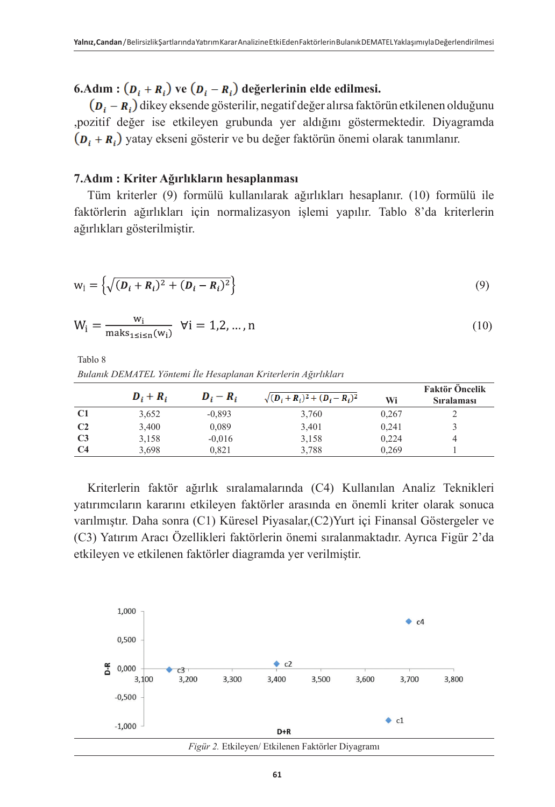**6.Adım :**  $(D_i + R_i)$  ve  $(D_i - R_i)$  değerlerinin elde edilmesi.

 $(\boldsymbol{D}_i - \boldsymbol{R}_i)$  dikey eksende gösterilir, negatif değer alırsa faktörün etkilenen olduğunu ,pozitif değer ise etkileyen grubunda yer aldığını göstermektedir. Diyagramda  $(p_i + R_i)$  yatay ekseni gösterir ve bu değer faktörün önemi olarak tanımlanır.

### **7.Adım : Kriter Ağırlıkların hesaplanması**

Tüm kriterler (9) formülü kullanılarak ağırlıkları hesaplanır. (10) formülü ile faktörlerin ağırlıkları için normalizasyon işlemi yapılır. Tablo 8'da kriterlerin ağırlıkları gösterilmiştir.

$$
w_i = \left\{ \sqrt{(D_i + R_i)^2 + (D_i - R_i)^2} \right\}
$$
\n(9)

$$
W_{i} = \frac{w_{i}}{\max_{1 \le i \le n}(w_{i})} \ \forall i = 1, 2, ..., n
$$
 (10)

Tablo 8 *Bulanık DEMATEL Yöntemi İle Hesaplanan Kriterlerin Ağırlıkları*

|                | $D_i + R_i$ | $D_i - R_i$ | $\sqrt{(D_i+R_i)^2+(D_i-R_i)^2}$ | Wi    | <b>Faktör Öncelik</b><br><b>Siralamasi</b> |
|----------------|-------------|-------------|----------------------------------|-------|--------------------------------------------|
| C <sub>1</sub> | 3,652       | $-0.893$    | 3,760                            | 0.267 |                                            |
| C <sub>2</sub> | 3,400       | 0,089       | 3,401                            | 0.241 |                                            |
| C <sub>3</sub> | 3,158       | $-0.016$    | 3,158                            | 0.224 |                                            |
| C <sub>4</sub> | 3.698       | 0.821       | 3,788                            | 0.269 |                                            |

Kriterlerin faktör ağırlık sıralamalarında (C4) Kullanılan Analiz Teknikleri yatırımcıların kararını etkileyen faktörler arasında en önemli kriter olarak sonuca varılmıştır. Daha sonra (C1) Küresel Piyasalar,(C2)Yurt içi Finansal Göstergeler ve (C3) Yatırım Aracı Özellikleri faktörlerin önemi sıralanmaktadır. Ayrıca Figür 2'da etkileyen ve etkilenen faktörler diagramda yer verilmiştir.

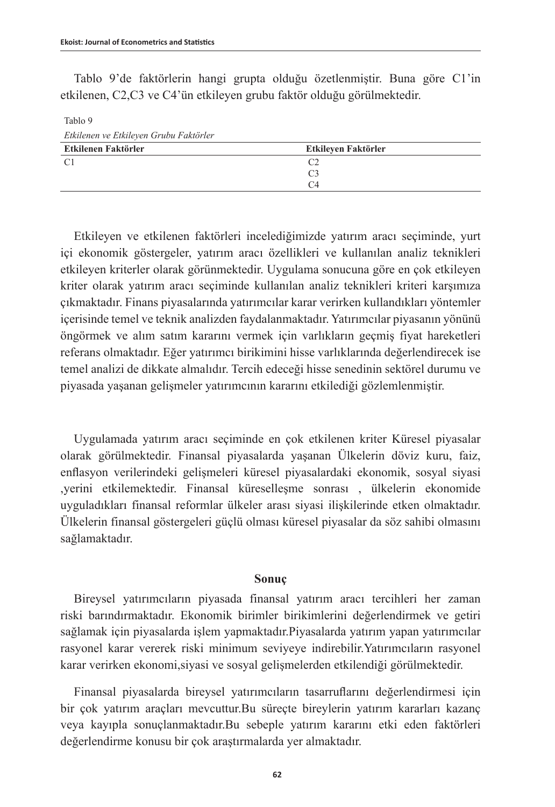Tablo 9

Tablo 9'de faktörlerin hangi grupta olduğu özetlenmiştir. Buna göre C1'in etkilenen, C2,C3 ve C4'ün etkileyen grubu faktör olduğu görülmektedir.

*Etkilenen ve Etkileyen Grubu Faktörler* **Etkilenen Faktörler Etkileyen Faktörler**   $C1$   $C2$  C3  $C<sub>4</sub>$ 

Etkileyen ve etkilenen faktörleri incelediğimizde yatırım aracı seçiminde, yurt içi ekonomik göstergeler, yatırım aracı özellikleri ve kullanılan analiz teknikleri etkileyen kriterler olarak görünmektedir. Uygulama sonucuna göre en çok etkileyen kriter olarak yatırım aracı seçiminde kullanılan analiz teknikleri kriteri karşımıza çıkmaktadır. Finans piyasalarında yatırımcılar karar verirken kullandıkları yöntemler içerisinde temel ve teknik analizden faydalanmaktadır. Yatırımcılar piyasanın yönünü öngörmek ve alım satım kararını vermek için varlıkların geçmiş fiyat hareketleri referans olmaktadır. Eğer yatırımcı birikimini hisse varlıklarında değerlendirecek ise temel analizi de dikkate almalıdır. Tercih edeceği hisse senedinin sektörel durumu ve piyasada yaşanan gelişmeler yatırımcının kararını etkilediği gözlemlenmiştir.

Uygulamada yatırım aracı seçiminde en çok etkilenen kriter Küresel piyasalar olarak görülmektedir. Finansal piyasalarda yaşanan Ülkelerin döviz kuru, faiz, enflasyon verilerindeki gelişmeleri küresel piyasalardaki ekonomik, sosyal siyasi ,yerini etkilemektedir. Finansal küreselleşme sonrası , ülkelerin ekonomide uyguladıkları finansal reformlar ülkeler arası siyasi ilişkilerinde etken olmaktadır. Ülkelerin finansal göstergeleri güçlü olması küresel piyasalar da söz sahibi olmasını sağlamaktadır.

### **Sonuç**

Bireysel yatırımcıların piyasada finansal yatırım aracı tercihleri her zaman riski barındırmaktadır. Ekonomik birimler birikimlerini değerlendirmek ve getiri sağlamak için piyasalarda işlem yapmaktadır.Piyasalarda yatırım yapan yatırımcılar rasyonel karar vererek riski minimum seviyeye indirebilir.Yatırımcıların rasyonel karar verirken ekonomi,siyasi ve sosyal gelişmelerden etkilendiği görülmektedir.

Finansal piyasalarda bireysel yatırımcıların tasarruflarını değerlendirmesi için bir çok yatırım araçları mevcuttur.Bu süreçte bireylerin yatırım kararları kazanç veya kayıpla sonuçlanmaktadır.Bu sebeple yatırım kararını etki eden faktörleri değerlendirme konusu bir çok araştırmalarda yer almaktadır.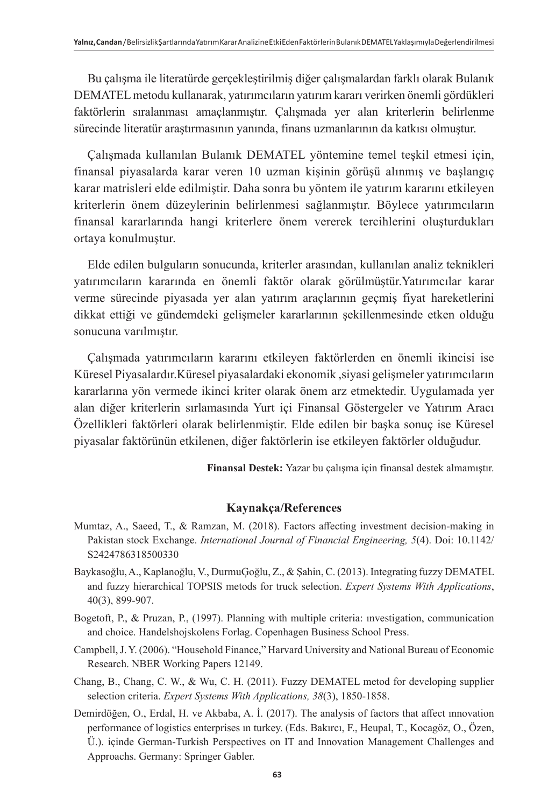Bu çalışma ile literatürde gerçekleştirilmiş diğer çalışmalardan farklı olarak Bulanık DEMATEL metodu kullanarak, yatırımcıların yatırım kararı verirken önemli gördükleri faktörlerin sıralanması amaçlanmıştır. Çalışmada yer alan kriterlerin belirlenme sürecinde literatür araştırmasının yanında, finans uzmanlarının da katkısı olmuştur.

Çalışmada kullanılan Bulanık DEMATEL yöntemine temel teşkil etmesi için, finansal piyasalarda karar veren 10 uzman kişinin görüşü alınmış ve başlangıç karar matrisleri elde edilmiştir. Daha sonra bu yöntem ile yatırım kararını etkileyen kriterlerin önem düzeylerinin belirlenmesi sağlanmıştır. Böylece yatırımcıların finansal kararlarında hangi kriterlere önem vererek tercihlerini oluşturdukları ortaya konulmuştur.

Elde edilen bulguların sonucunda, kriterler arasından, kullanılan analiz teknikleri yatırımcıların kararında en önemli faktör olarak görülmüştür.Yatırımcılar karar verme sürecinde piyasada yer alan yatırım araçlarının geçmiş fiyat hareketlerini dikkat ettiği ve gündemdeki gelişmeler kararlarının şekillenmesinde etken olduğu sonucuna varılmıştır.

Çalışmada yatırımcıların kararını etkileyen faktörlerden en önemli ikincisi ise Küresel Piyasalardır.Küresel piyasalardaki ekonomik ,siyasi gelişmeler yatırımcıların kararlarına yön vermede ikinci kriter olarak önem arz etmektedir. Uygulamada yer alan diğer kriterlerin sırlamasında Yurt içi Finansal Göstergeler ve Yatırım Aracı Özellikleri faktörleri olarak belirlenmiştir. Elde edilen bir başka sonuç ise Küresel piyasalar faktörünün etkilenen, diğer faktörlerin ise etkileyen faktörler olduğudur.

**Finansal Destek:** Yazar bu çalışma için finansal destek almamıştır.

# **Kaynakça/References**

- Mumtaz, A., Saeed, T., & Ramzan, M. (2018). Factors affecting investment decision-making in Pakistan stock Exchange. *[International Journal of Financial Engineering,](https://www.worldscientific.com/worldscinet/ijfe) 5*(4). Doi: 10.1142/ S2424786318500330
- Baykasoğlu, A., Kaplanoğlu, V., DurmuĢoğlu, Z., & Şahin, C. (2013). Integrating fuzzy DEMATEL and fuzzy hierarchical TOPSIS metods for truck selection. *Expert Systems With Applications*, 40(3), 899-907.
- Bogetoft, P., & Pruzan, P., (1997). Planning with multiple criteria: ınvestigation, communication and choice. Handelshojskolens Forlag. Copenhagen Business School Press.
- Campbell, J. Y. (2006). "Household Finance," Harvard University and National Bureau of Economic Research. NBER Working Papers 12149.
- Chang, B., Chang, C. W., & Wu, C. H. (2011). Fuzzy DEMATEL metod for developing supplier selection criteria. *Expert Systems With Applications, 38*(3), 1850-1858.
- Demirdöğen, O., Erdal, H. ve Akbaba, A. İ. (2017). The analysis of factors that affect ınnovation performance of logistics enterprises ın turkey. (Eds. Bakırcı, F., Heupal, T., Kocagöz, O., Özen, Ü.). içinde German-Turkish Perspectives on IT and Innovation Management Challenges and Approachs. Germany: Springer Gabler.